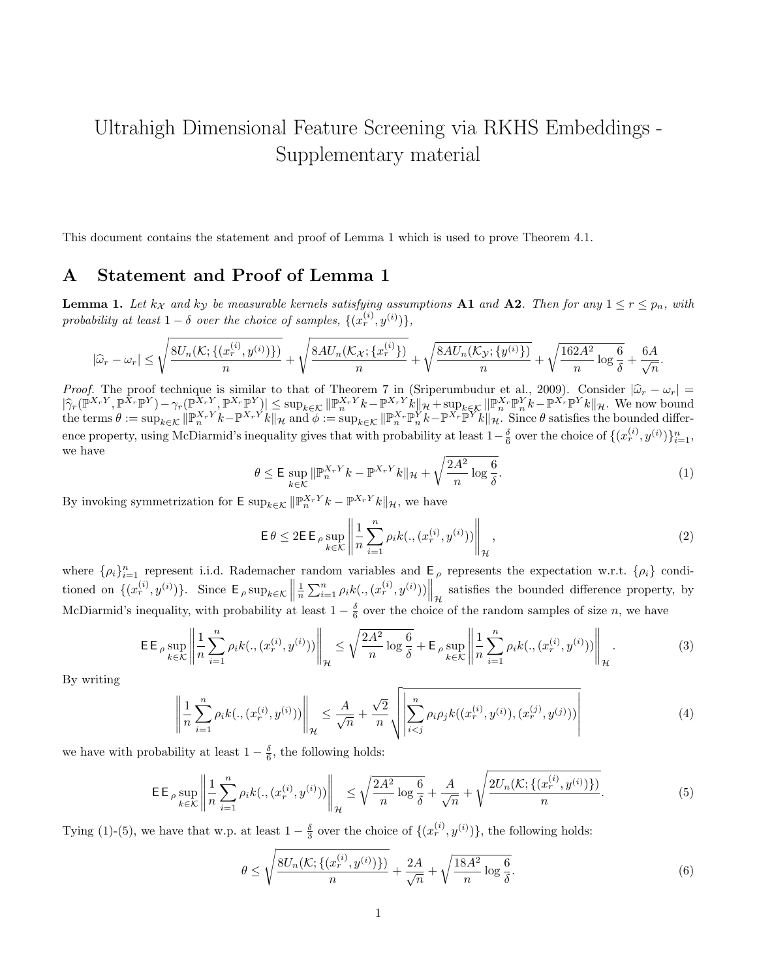## Ultrahigh Dimensional Feature Screening via RKHS Embeddings - Supplementary material

This document contains the statement and proof of Lemma 1 which is used to prove Theorem 4.1.

## A Statement and Proof of Lemma 1

**Lemma 1.** Let  $k_X$  and  $k_Y$  be measurable kernels satisfying assumptions **A1** and **A2**. Then for any  $1 \le r \le p_n$ , with probability at least  $1 - \delta$  over the choice of samples,  $\{(x_r^{(i)}, y^{(i)})\},\$ 

$$
|\widehat{\omega}_r-\omega_r|\leq \sqrt{\frac{8U_n(\mathcal{K};\{(x^{(i)}_r,y^{(i)})\})}{n}}+\sqrt{\frac{8AU_n(\mathcal{K_X};\{x^{(i)}_r\})}{n}}+\sqrt{\frac{8AU_n(\mathcal{K_Y};\{y^{(i)}\})}{n}}+\sqrt{\frac{162A^2}{n}\log{\frac{6}{\delta}}}+\frac{6A}{\sqrt{n}}.
$$

Proof. The proof technique is similar to that of Theorem 7 in (Sriperumbudur et al., 2009). Consider  $|\hat{\omega}_r - \omega_r| =$ <br> $|\hat{\omega}_r|^2 \mathbb{E}_{\hat{\omega}}(W_{r,\mathcal{V}}^{\mathcal{X}} - W_{r,\mathcal{V}}^{\mathcal{X}}) - \hat{\omega}_r|^2 \mathbb{E}_{\hat{\omega}}(W_{r,\mathcal{V}}^{\mathcal{X}} - W_{r,\mathcal{V}}^{\math$  $|\widehat{\gamma}_r(\mathbb{P}^{X_r}Y, \mathbb{P}^{X_r}\mathbb{P}^{Y}) - \gamma_r(\mathbb{P}^{X_r}Y, \mathbb{P}^{X_r}\mathbb{P}^{Y})| \leq \sup_{k \in \mathcal{K}} ||\mathbb{P}^{X_r}Y_k - \mathbb{P}^{X_r}Y_k||_{\mathcal{H}} + \sup_{k \in \mathcal{K}} ||\mathbb{P}^{X_r}\mathbb{P}^{Y_k}_k - \mathbb{P}^{X_r}\mathbb{P}^{Y_k}_k||_{\mathcal{H}}.$  We now bound the terms  $\theta := \sup_{||\math$ the terms  $\theta := \sup_{k \in \mathcal{K}} || \mathbb{P}_{n}^{X_{r}Y} k - \mathbb{P}^{X_{r}Y} k ||_{\mathcal{H}}$  and  $\phi := \sup_{k \in \mathcal{K}} || \mathbb{P}_{n}^{X_{r}} \mathbb{P}_{n}^{Y} k - \mathbb{P}^{X_{r}} \mathbb{P}^{Y} k ||_{\mathcal{H}}$ . Since  $\theta$  satisfies the bounded difference property, using McDiarmid's inequality gives that with probability at least  $1-\frac{\delta}{6}$  over the choice of  $\{(x_r^{(i)}, y^{(i)})\}_{i=1}^n$ , we have

$$
\theta \le \mathsf{E} \sup_{k \in \mathcal{K}} \|\mathbb{P}_n^{X_r Y} k - \mathbb{P}^{X_r Y} k\|_{\mathcal{H}} + \sqrt{\frac{2A^2}{n} \log \frac{6}{\delta}}.\tag{1}
$$

By invoking symmetrization for  $\mathsf{E} \sup_{k \in \mathcal{K}} ||\mathbb{P}_n^{X_rY} k - \mathbb{P}^{X_rY} k||_{\mathcal{H}}$ , we have

$$
\mathsf{E}\,\theta \le 2\mathsf{E}\,\mathsf{P}\sup_{k\in\mathcal{K}}\left\|\frac{1}{n}\sum_{i=1}^{n}\rho_{i}k(.,(x_{r}^{(i)},y^{(i)}))\right\|_{\mathcal{H}},\tag{2}
$$

where  $\{\rho_i\}_{i=1}^n$  represent i.i.d. Rademacher random variables and  $E_\rho$  represents the expectation w.r.t.  $\{\rho_i\}$  conditioned on  $\{(x_r^{(i)}, y^{(i)})\}$ . Since  $\mathsf{E}_{\rho} \sup_{k \in \mathcal{K}} \left\|$  $\frac{1}{n}\sum_{i=1}^{n}\rho_{i}k(.,(x_r^{(i)},y^{(i)}))\Big\|_{\mathcal{H}}$  satisfies the bounded difference property, by McDiarmid's inequality, with probability at least  $1-\frac{\delta}{6}$  over the choice of the random samples of size n, we have

$$
\mathsf{EE}_{\rho} \sup_{k \in \mathcal{K}} \left\| \frac{1}{n} \sum_{i=1}^{n} \rho_i k(., (x_r^{(i)}, y^{(i)})) \right\|_{\mathcal{H}} \le \sqrt{\frac{2A^2}{n} \log \frac{6}{\delta}} + \mathsf{E}_{\rho} \sup_{k \in \mathcal{K}} \left\| \frac{1}{n} \sum_{i=1}^{n} \rho_i k(., (x_r^{(i)}, y^{(i)})) \right\|_{\mathcal{H}}.
$$
 (3)

By writing

$$
\left\| \frac{1}{n} \sum_{i=1}^{n} \rho_i k(., (x_r^{(i)}, y^{(i)})) \right\|_{\mathcal{H}} \le \frac{A}{\sqrt{n}} + \frac{\sqrt{2}}{n} \sqrt{\left| \sum_{i < j}^{n} \rho_i \rho_j k((x_r^{(i)}, y^{(i)}), (x_r^{(j)}, y^{(j)})) \right|} \tag{4}
$$

we have with probability at least  $1 - \frac{\delta}{6}$ , the following holds:

$$
\mathsf{EE}_{\rho} \sup_{k \in \mathcal{K}} \left\| \frac{1}{n} \sum_{i=1}^{n} \rho_i k(., (x_r^{(i)}, y^{(i)})) \right\|_{\mathcal{H}} \le \sqrt{\frac{2A^2}{n} \log \frac{6}{\delta}} + \frac{A}{\sqrt{n}} + \sqrt{\frac{2U_n(\mathcal{K}; \{(x_r^{(i)}, y^{(i)})\})}{n}}.
$$
(5)

Tying (1)-(5), we have that w.p. at least  $1-\frac{\delta}{3}$  over the choice of  $\{(x_r^{(i)}, y^{(i)})\}$ , the following holds:

$$
\theta \le \sqrt{\frac{8U_n(\mathcal{K}; \{(x_r^{(i)}, y^{(i)})\})}{n}} + \frac{2A}{\sqrt{n}} + \sqrt{\frac{18A^2}{n} \log \frac{6}{\delta}}.
$$
\n(6)